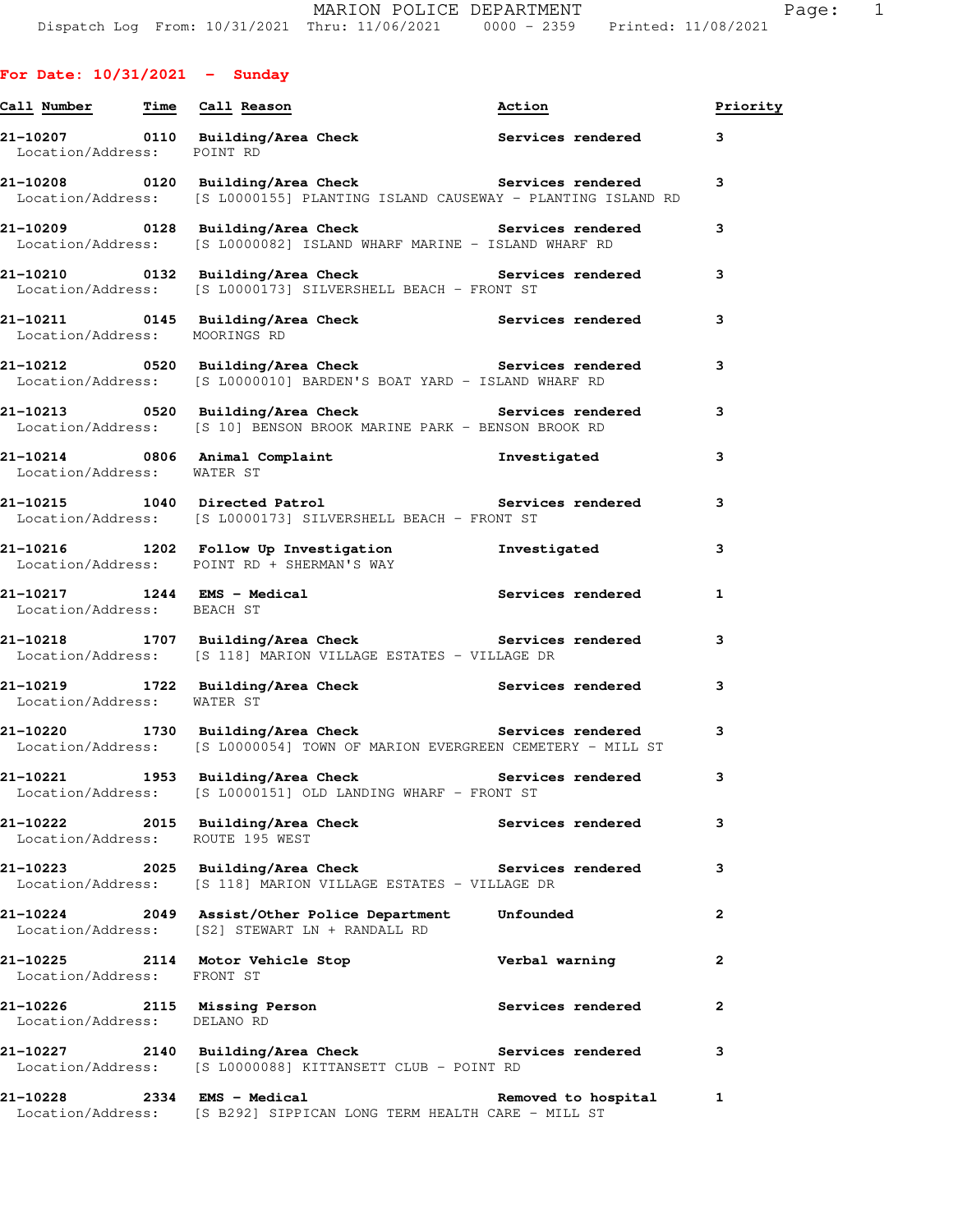| Call Number Time Call Reason  |      |                                                                                                                                           | Action                   | Priority     |
|-------------------------------|------|-------------------------------------------------------------------------------------------------------------------------------------------|--------------------------|--------------|
| Location/Address: POINT RD    |      | 21-10207 0110 Building/Area Check Services rendered                                                                                       |                          | 3            |
|                               |      | 21-10208 		 0120 Building/Area Check 		 Services rendered<br>Location/Address: [S L0000155] PLANTING ISLAND CAUSEWAY - PLANTING ISLAND RD |                          | 3            |
|                               |      | 21-10209 		 0128 Building/Area Check 		 Services rendered<br>Location/Address: [S L0000082] ISLAND WHARF MARINE - ISLAND WHARF RD         |                          | 3            |
|                               |      | 21-10210 		 0132 Building/Area Check 		 Services rendered<br>Location/Address: [S L0000173] SILVERSHELL BEACH - FRONT ST                  |                          | 3            |
| Location/Address: MOORINGS RD |      | 21-10211 0145 Building/Area Check Services rendered                                                                                       |                          | 3            |
|                               |      | 21-10212 		 0520 Building/Area Check 		 Services rendered<br>Location/Address: [S L0000010] BARDEN'S BOAT YARD - ISLAND WHARF RD          |                          | 3            |
|                               |      | 21-10213 0520 Building/Area Check 1988 Services rendered<br>Location/Address: [S 10] BENSON BROOK MARINE PARK - BENSON BROOK RD           |                          | 3            |
| Location/Address: WATER ST    |      | 21-10214 0806 Animal Complaint the Investigated                                                                                           |                          | 3            |
|                               |      | 21-10215 1040 Directed Patrol 100 Services rendered<br>Location/Address: [S L0000173] SILVERSHELL BEACH - FRONT ST                        |                          | 3            |
|                               |      | 21-10216 1202 Follow Up Investigation Investigated<br>Location/Address: POINT RD + SHERMAN'S WAY                                          |                          | 3            |
| Location/Address: BEACH ST    |      | 21-10217 1244 EMS - Medical Network Services rendered                                                                                     |                          | $\mathbf{1}$ |
|                               |      | 21-10218 1707 Building/Area Check Services rendered<br>Location/Address: [S 118] MARION VILLAGE ESTATES - VILLAGE DR                      |                          | 3            |
| Location/Address: WATER ST    |      | 21-10219 1722 Building/Area Check Services rendered                                                                                       |                          | 3            |
|                               |      | 21-10220 1730 Building/Area Check Services rendered<br>Location/Address: [S L0000054] TOWN OF MARION EVERGREEN CEMETERY - MILL ST         |                          | 3            |
|                               |      | 21-10221 1953 Building/Area Check Services rendered<br>Location/Address: [S L0000151] OLD LANDING WHARF - FRONT ST                        |                          | 3            |
| 21-10222                      |      | 2015 Building/Area Check<br>Location/Address: ROUTE 195 WEST                                                                              | Services rendered        | з            |
| 21-10223<br>Location/Address: |      | 2025 Building/Area Check<br>[S 118] MARION VILLAGE ESTATES - VILLAGE DR                                                                   | Services rendered        | 3            |
| 21-10224<br>Location/Address: | 2049 | Assist/Other Police Department<br>[S2] STEWART LN + RANDALL RD                                                                            | Unfounded                | 2            |
| 21-10225<br>Location/Address: |      | 2114 Motor Vehicle Stop<br>FRONT ST                                                                                                       | Verbal warning           | 2            |
| 21-10226<br>Location/Address: |      | 2115 Missing Person<br>DELANO RD                                                                                                          | Services rendered        | 2            |
| 21-10227                      |      | 2140 Building/Area Check<br>Location/Address: [S L0000088] KITTANSETT CLUB - POINT RD                                                     | <b>Services rendered</b> | 3            |
| 21-10228                      |      | 2334 EMS - Medical<br>Location/Address: [S B292] SIPPICAN LONG TERM HEALTH CARE - MILL ST                                                 | Removed to hospital      | 1            |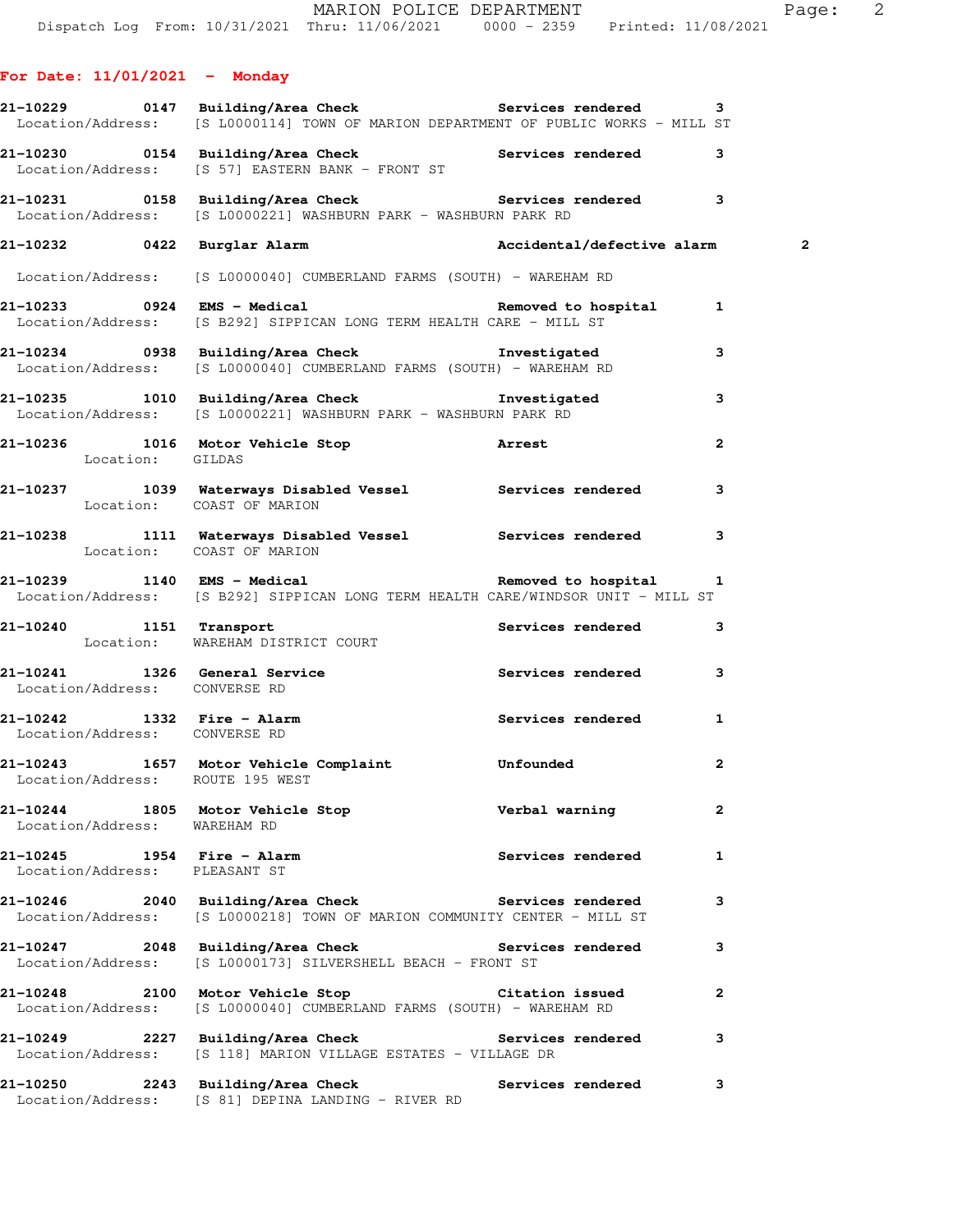| For Date: $11/01/2021$ - Monday                                   |                                                                                                                                                 |                          |                         |
|-------------------------------------------------------------------|-------------------------------------------------------------------------------------------------------------------------------------------------|--------------------------|-------------------------|
|                                                                   | 21-10229 		 0147 Building/Area Check 		 Services rendered<br>Location/Address: [S L0000114] TOWN OF MARION DEPARTMENT OF PUBLIC WORKS - MILL ST |                          | 3                       |
|                                                                   | 21-10230 0154 Building/Area Check <b>Services</b> rendered 3<br>Location/Address: [S 57] EASTERN BANK - FRONT ST                                |                          |                         |
|                                                                   | 21-10231 0158 Building/Area Check Services rendered 3<br>Location/Address: [S L0000221] WASHBURN PARK - WASHBURN PARK RD                        |                          |                         |
|                                                                   | 21-10232 10422 Burglar Alarm 1988 (Accidental/defective alarm                                                                                   |                          | $\overline{\mathbf{2}}$ |
|                                                                   | Location/Address: [S L0000040] CUMBERLAND FARMS (SOUTH) - WAREHAM RD                                                                            |                          |                         |
|                                                                   | 21-10233 0924 EMS - Medical and the Removed to hospital 1<br>Location/Address: [S B292] SIPPICAN LONG TERM HEALTH CARE - MILL ST                |                          |                         |
|                                                                   | 21-10234 0938 Building/Area Check <b>The Investigated</b><br>Location/Address: [S L0000040] CUMBERLAND FARMS (SOUTH) - WAREHAM RD               |                          | 3                       |
|                                                                   | 21-10235 1010 Building/Area Check the Investigated<br>Location/Address: [S L0000221] WASHBURN PARK - WASHBURN PARK RD                           |                          | 3                       |
| Location: GILDAS                                                  | 21-10236 1016 Motor Vehicle Stop <b>121-10236</b> Arrest                                                                                        |                          | 2                       |
|                                                                   | 21-10237 1039 Waterways Disabled Vessel Services rendered 3<br>Location: COAST OF MARION                                                        |                          |                         |
| Location: COAST OF MARION                                         | 21-10238 1111 Waterways Disabled Vessel Services rendered 3                                                                                     |                          |                         |
|                                                                   | Location/Address: [S B292] SIPPICAN LONG TERM HEALTH CARE/WINDSOR UNIT - MILL ST                                                                |                          |                         |
|                                                                   | 21-10240 1151 Transport Services rendered 3<br>Location: WAREHAM DISTRICT COURT                                                                 |                          |                         |
| Location/Address: CONVERSE RD                                     | 21-10241 1326 General Service <b>120 Services</b> rendered                                                                                      |                          | 3                       |
| Location/Address: CONVERSE RD                                     | 21-10242 1332 Fire - Alarm National Services rendered 1                                                                                         |                          |                         |
| Location/Address: ROUTE 195 WEST                                  | 21-10243 1657 Motor Vehicle Complaint Unfounded                                                                                                 |                          | $\overline{2}$          |
| Location/Address: WAREHAM RD                                      | 21-10244 1805 Motor Vehicle Stop <b>1808</b> Verbal warning                                                                                     |                          | $\overline{2}$          |
| 21-10245    1954    Fire - Alarm<br>Location/Address: PLEASANT ST |                                                                                                                                                 | Services rendered        | 1                       |
|                                                                   | 21-10246 2040 Building/Area Check Services rendered<br>Location/Address: [S L0000218] TOWN OF MARION COMMUNITY CENTER - MILL ST                 |                          | 3                       |
|                                                                   | 21-10247 2048 Building/Area Check Services rendered<br>Location/Address: [S L0000173] SILVERSHELL BEACH - FRONT ST                              |                          | 3                       |
|                                                                   | 21-10248 2100 Motor Vehicle Stop Citation issued<br>Location/Address: [S L0000040] CUMBERLAND FARMS (SOUTH) - WAREHAM RD                        |                          | $\mathbf{2}$            |
|                                                                   | 21-10249 2227 Building/Area Check Services rendered<br>Location/Address: [S 118] MARION VILLAGE ESTATES - VILLAGE DR                            |                          | 3                       |
|                                                                   | 21-10250 2243 Building/Area Check<br>Location/Address: [S 81] DEPINA LANDING - RIVER RD                                                         | <b>Services rendered</b> | 3                       |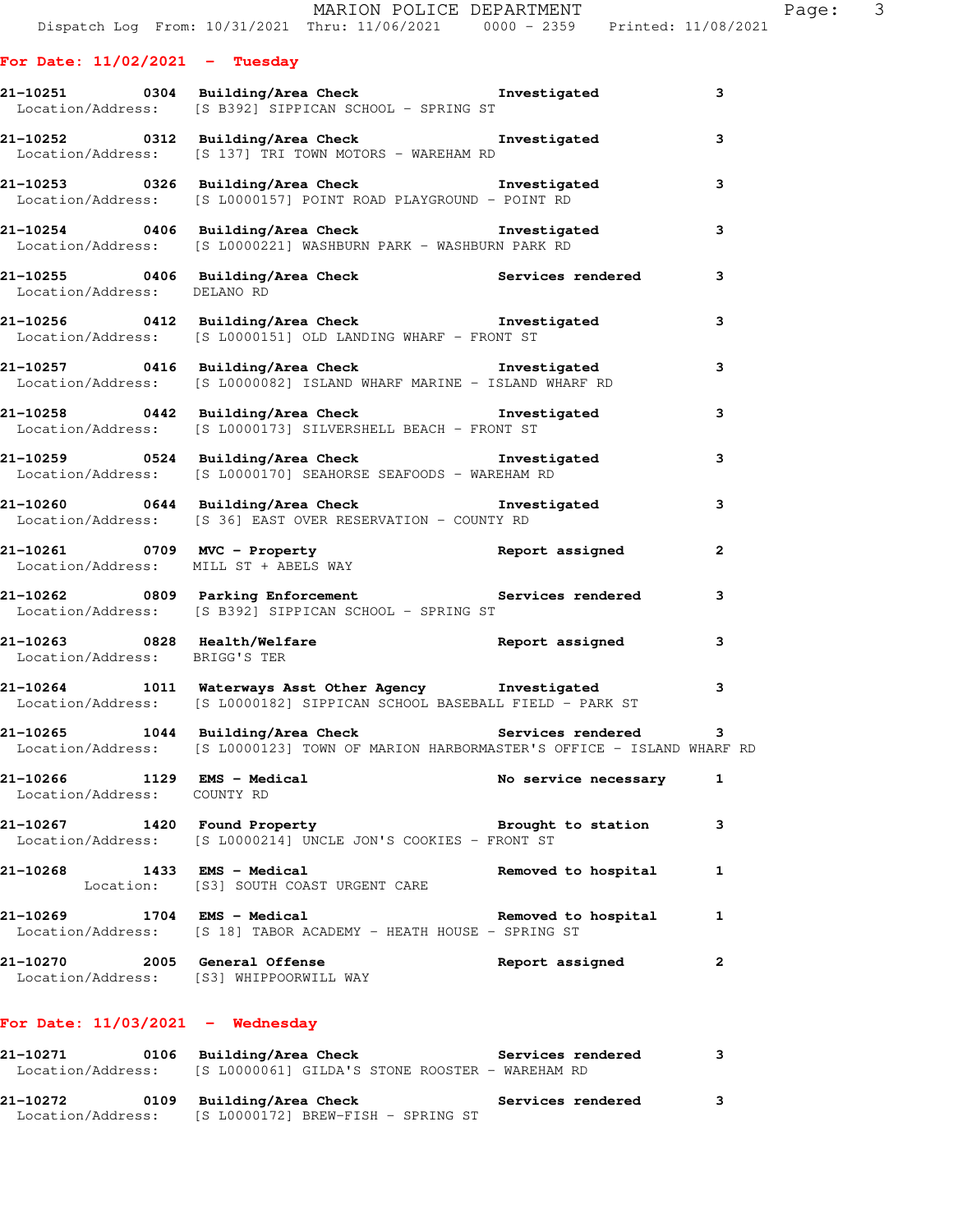| For Date: $11/03/2021$ - Wednesday                         |                                                                                                                                              |                      |                |
|------------------------------------------------------------|----------------------------------------------------------------------------------------------------------------------------------------------|----------------------|----------------|
| 21-10270 2005 General Offense                              | Location/Address: [S3] WHIPPOORWILL WAY                                                                                                      | Report assigned      | $\mathbf{2}$   |
|                                                            | 21-10269 1704 EMS - Medical Network of Removed to hospital<br>Location/Address: [S 18] TABOR ACADEMY - HEATH HOUSE - SPRING ST               |                      | 1              |
| 21-10268 1433 EMS - Medical                                | Location: [S3] SOUTH COAST URGENT CARE                                                                                                       | Removed to hospital  | 1              |
|                                                            | 21-10267 1420 Found Property <b>120 Example 19</b> Brought to station<br>Location/Address: [S L0000214] UNCLE JON'S COOKIES - FRONT ST       |                      | 3              |
| 21-10266 1129 EMS - Medical<br>Location/Address: COUNTY RD |                                                                                                                                              | No service necessary | 1              |
|                                                            | 21-10265 1044 Building/Area Check Services rendered<br>Location/Address: [S L0000123] TOWN OF MARION HARBORMASTER'S OFFICE - ISLAND WHARF RD |                      | 3              |
|                                                            | 21-10264 1011 Waterways Asst Other Agency 1nvestigated<br>Location/Address: [S L0000182] SIPPICAN SCHOOL BASEBALL FIELD - PARK ST            |                      | 3              |
| Location/Address: BRIGG'S TER                              | 21-10263 0828 Health/Welfare <b>1989 and Separt Australian Contracts</b> Report assigned                                                     |                      | 3              |
|                                                            | 21-10262      0809  Parking Enforcement          Services rendered<br>Location/Address: [S B392] SIPPICAN SCHOOL - SPRING ST                 |                      | 3              |
|                                                            | 21-10261 0709 MVC - Property <b>120 Example 21-10261</b><br>Location/Address: MILL ST + ABELS WAY                                            |                      | $\overline{2}$ |
|                                                            | 21-10260 0644 Building/Area Check <b>The Investigated</b><br>Location/Address: [S 36] EAST OVER RESERVATION - COUNTY RD                      |                      | 3              |
|                                                            | 21-10259 0524 Building/Area Check <b>The Investigated</b><br>Location/Address: [S L0000170] SEAHORSE SEAFOODS - WAREHAM RD                   |                      | 3              |
|                                                            | 21-10258 0442 Building/Area Check <b>The Investigated</b><br>Location/Address: [S L0000173] SILVERSHELL BEACH - FRONT ST                     |                      | 3              |
|                                                            | 21-10257 0416 Building/Area Check <b>The Investigated</b><br>Location/Address: [S L0000082] ISLAND WHARF MARINE - ISLAND WHARF RD            |                      | 3              |
|                                                            | 21-10256     0412   Building/Area Check           Investigated<br>Location/Address:   [S L0000151] OLD LANDING WHARF - FRONT ST              |                      | з              |
| Location/Address: DELANO RD                                | 21-10255 0406 Building/Area Check Services rendered                                                                                          |                      | 3              |
|                                                            | 21-10254 0406 Building/Area Check Investigated<br>Location/Address: [S L0000221] WASHBURN PARK - WASHBURN PARK RD                            |                      | 3              |
|                                                            | 21-10253 0326 Building/Area Check <b>The Investigated</b><br>Location/Address: [S L0000157] POINT ROAD PLAYGROUND - POINT RD                 |                      | 3              |
|                                                            | 21-10252 0312 Building/Area Check 1nvestigated<br>Location/Address: [S 137] TRI TOWN MOTORS - WAREHAM RD                                     |                      | 3              |
|                                                            | 21-10251 0304 Building/Area Check the Investigated<br>Location/Address: [S B392] SIPPICAN SCHOOL - SPRING ST                                 |                      | 3              |
| For Date: $11/02/2021$ - Tuesday                           |                                                                                                                                              |                      |                |
|                                                            | MARION POLICE DEPARTMENT<br>Dispatch Log From: 10/31/2021 Thru: 11/06/2021 0000 - 2359 Printed: 11/08/2021                                   |                      |                |

## **21-10271 0106 Building/Area Check Services rendered 3**  Location/Address: [S L0000061] GILDA'S STONE ROOSTER - WAREHAM RD **21-10272 0109 Building/Area Check Services rendered 3**  Location/Address: [S L0000172] BREW-FISH - SPRING ST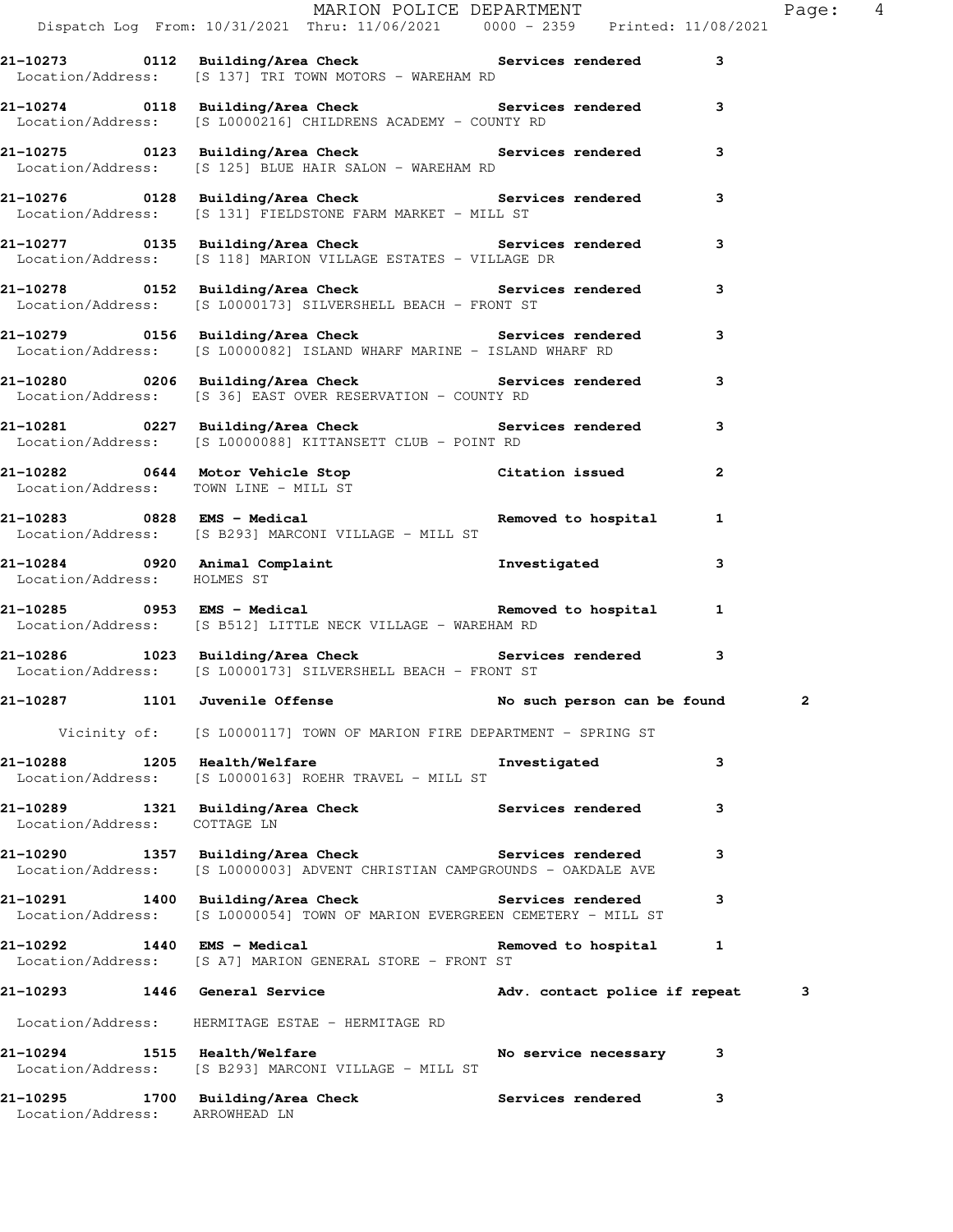|                                | MARION POLICE DEPARTMENT<br>Dispatch Log From: 10/31/2021 Thru: 11/06/2021 0000 - 2359 Printed: 11/08/2021                        |                               |              | Page: 4 |  |
|--------------------------------|-----------------------------------------------------------------------------------------------------------------------------------|-------------------------------|--------------|---------|--|
|                                | 21-10273 0112 Building/Area Check 5ervices rendered 3<br>Location/Address: [S 137] TRI TOWN MOTORS - WAREHAM RD                   |                               |              |         |  |
|                                | 21-10274 0118 Building/Area Check 6 Services rendered 3<br>Location/Address: [S L0000216] CHILDRENS ACADEMY - COUNTY RD           |                               |              |         |  |
|                                | 21-10275 0123 Building/Area Check Services rendered 3<br>Location/Address: [S 125] BLUE HAIR SALON - WAREHAM RD                   |                               |              |         |  |
|                                | 21-10276 0128 Building/Area Check Services rendered 3<br>Location/Address: [S 131] FIELDSTONE FARM MARKET - MILL ST               |                               |              |         |  |
|                                | 21-10277 0135 Building/Area Check Services rendered 3<br>Location/Address: [S 118] MARION VILLAGE ESTATES - VILLAGE DR            |                               |              |         |  |
|                                | 21-10278 0152 Building/Area Check <b>Services</b> rendered 3<br>Location/Address: [S L0000173] SILVERSHELL BEACH - FRONT ST       |                               |              |         |  |
|                                | 21-10279 0156 Building/Area Check 1 Services rendered 3<br>Location/Address: [S L0000082] ISLAND WHARF MARINE - ISLAND WHARF RD   |                               |              |         |  |
|                                | 21-10280 0206 Building/Area Check <b>Services</b> rendered 3<br>Location/Address: [S 36] EAST OVER RESERVATION - COUNTY RD        |                               |              |         |  |
|                                | 21-10281 0227 Building/Area Check Services rendered 3<br>Location/Address: [S L0000088] KITTANSETT CLUB - POINT RD                |                               |              |         |  |
|                                | 21-10282 0644 Motor Vehicle Stop Citation issued<br>Location/Address: TOWN LINE - MILL ST                                         |                               | $\mathbf{2}$ |         |  |
|                                | 21-10283 0828 EMS - Medical<br>Location/Address: [S B293] MARCONI VILLAGE - MILL ST                                               | Removed to hospital 1         |              |         |  |
| Location/Address: HOLMES ST    | 21-10284 0920 Animal Complaint 100 Investigated                                                                                   |                               | 3            |         |  |
|                                | Location/Address: [S B512] LITTLE NECK VILLAGE - WAREHAM RD                                                                       |                               |              |         |  |
|                                | 21-10286 1023 Building/Area Check Services rendered 3<br>Location/Address: [S L0000173] SILVERSHELL BEACH - FRONT ST              |                               |              |         |  |
|                                | 21-10287 1101 Juvenile Offense No such person can be found                                                                        |                               |              |         |  |
|                                | Vicinity of: [S L0000117] TOWN OF MARION FIRE DEPARTMENT - SPRING ST                                                              |                               |              |         |  |
|                                | 21-10288 1205 Health/Welfare<br>Location/Address: [S L0000163] ROEHR TRAVEL - MILL ST                                             | Investigated                  | 3            |         |  |
| Location/Address: COTTAGE LN   | 21-10289 1321 Building/Area Check Services rendered                                                                               |                               | 3            |         |  |
|                                | 21-10290 1357 Building/Area Check Services rendered<br>Location/Address: [S L0000003] ADVENT CHRISTIAN CAMPGROUNDS - OAKDALE AVE  |                               | 3            |         |  |
|                                | 21-10291 1400 Building/Area Check Services rendered<br>Location/Address: [S L0000054] TOWN OF MARION EVERGREEN CEMETERY - MILL ST |                               | 3            |         |  |
|                                | 21-10292 1440 EMS - Medical<br>Location/Address: [S A7] MARION GENERAL STORE - FRONT ST                                           | Removed to hospital 1         |              |         |  |
|                                | 21-10293 1446 General Service                                                                                                     | Adv. contact police if repeat |              | 3       |  |
|                                | Location/Address: HERMITAGE ESTAE - HERMITAGE RD                                                                                  |                               |              |         |  |
|                                | 21-10294 1515 Health/Welfare<br>Location/Address: [S B293] MARCONI VILLAGE - MILL ST                                              | No service necessary 3        |              |         |  |
| Location/Address: ARROWHEAD LN | 21-10295 1700 Building/Area Check                                                                                                 | Services rendered             | 3            |         |  |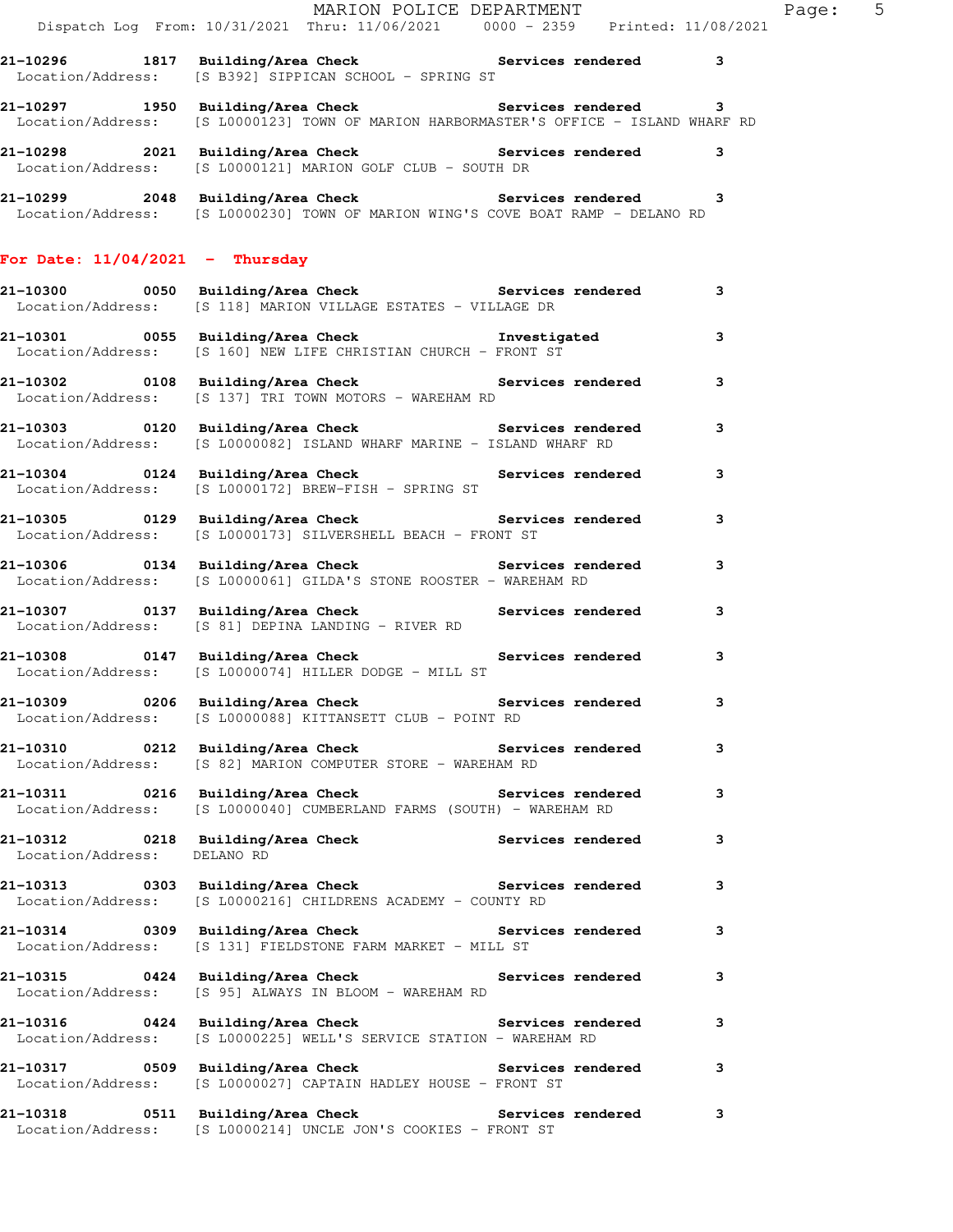|                                                                                                                                                | MARION POLICE DEPARTMENT<br>Dispatch Log From: 10/31/2021 Thru: 11/06/2021 0000 - 2359 Printed: 11/08/2021 |  |   | Page: 5 |  |
|------------------------------------------------------------------------------------------------------------------------------------------------|------------------------------------------------------------------------------------------------------------|--|---|---------|--|
| 21-10296 1817 Building/Area Check Services rendered 3<br>Location/Address: [S B392] SIPPICAN SCHOOL - SPRING ST                                |                                                                                                            |  |   |         |  |
| 21-10297 1950 Building/Area Check Services rendered 3<br>Location/Address: [S L0000123] TOWN OF MARION HARBORMASTER'S OFFICE - ISLAND WHARF RD |                                                                                                            |  |   |         |  |
| 21-10298 2021 Building/Area Check Services rendered 3<br>Location/Address: [S L0000121] MARION GOLF CLUB - SOUTH DR                            |                                                                                                            |  |   |         |  |
| 21-10299 2048 Building/Area Check Services rendered 3<br>Location/Address: [S L0000230] TOWN OF MARION WING'S COVE BOAT RAMP - DELANO RD       |                                                                                                            |  |   |         |  |
| For Date: $11/04/2021$ - Thursday                                                                                                              |                                                                                                            |  |   |         |  |
| 21-10300      0050 Building/Area Check          Services rendered     3<br>Location/Address: [S 118] MARION VILLAGE ESTATES - VILLAGE DR       |                                                                                                            |  |   |         |  |
| 21-10301 0055 Building/Area Check Investigated 13<br>Location/Address: [S 160] NEW LIFE CHRISTIAN CHURCH - FRONT ST                            |                                                                                                            |  |   |         |  |
| Location/Address: [S 137] TRI TOWN MOTORS - WAREHAM RD                                                                                         |                                                                                                            |  | 3 |         |  |
| 21-10303 0120 Building/Area Check Services rendered 3<br>Location/Address: [S L0000082] ISLAND WHARF MARINE - ISLAND WHARF RD                  |                                                                                                            |  |   |         |  |
| 21-10304      0124  Building/Area Check          Services rendered<br>Location/Address: [S L0000172] BREW-FISH - SPRING ST                     |                                                                                                            |  | 3 |         |  |
| 21-10305 0129 Building/Area Check Services rendered 3<br>Location/Address: [S L0000173] SILVERSHELL BEACH - FRONT ST                           |                                                                                                            |  |   |         |  |
| 21-10306   0134 Building/Area Check   Services rendered<br>Location/Address: [S L0000061] GILDA'S STONE ROOSTER - WAREHAM RD                   |                                                                                                            |  | 3 |         |  |
| 21-10307 0137 Building/Area Check Services rendered<br>Location/Address: [S 81] DEPINA LANDING - RIVER RD                                      |                                                                                                            |  | 3 |         |  |
| 21-10308 0147 Building/Area Check Services rendered<br>Location/Address: [S L0000074] HILLER DODGE - MILL ST                                   |                                                                                                            |  | 3 |         |  |
| 21-10309      0206  Building/Area Check          Services rendered<br>Location/Address: [S L0000088] KITTANSETT CLUB - POINT RD                |                                                                                                            |  | 3 |         |  |
| 21-10310      0212  Building/Area Check          Services rendered<br>Location/Address: [S 82] MARION COMPUTER STORE - WAREHAM RD              |                                                                                                            |  | 3 |         |  |
| 21-10311 0216 Building/Area Check Services rendered<br>Location/Address: [S L0000040] CUMBERLAND FARMS (SOUTH) - WAREHAM RD                    |                                                                                                            |  | 3 |         |  |
| 21-10312      0218  Building/Area Check         Services rendered<br>Location/Address: DELANO RD                                               |                                                                                                            |  | 3 |         |  |
| 21-10313 		 0303 Building/Area Check 		 Services rendered<br>Location/Address: [S L0000216] CHILDRENS ACADEMY - COUNTY RD                      |                                                                                                            |  | 3 |         |  |
| 21-10314 0309 Building/Area Check the Services rendered<br>Location/Address: [S 131] FIELDSTONE FARM MARKET - MILL ST                          |                                                                                                            |  | 3 |         |  |
| 21-10315 0424 Building/Area Check 5 Services rendered 3<br>Location/Address: [S 95] ALWAYS IN BLOOM - WAREHAM RD                               |                                                                                                            |  |   |         |  |
| 21-10316   0424 Building/Area Check   Services rendered<br>Location/Address: [S L0000225] WELL'S SERVICE STATION - WAREHAM RD                  |                                                                                                            |  | 3 |         |  |
| 21-10317      0509  Building/Area Check          Services rendered<br>Location/Address: [S L0000027] CAPTAIN HADLEY HOUSE - FRONT ST           |                                                                                                            |  | 3 |         |  |
| Location/Address:                                                                                                                              | [S L0000214] UNCLE JON'S COOKIES - FRONT ST                                                                |  | 3 |         |  |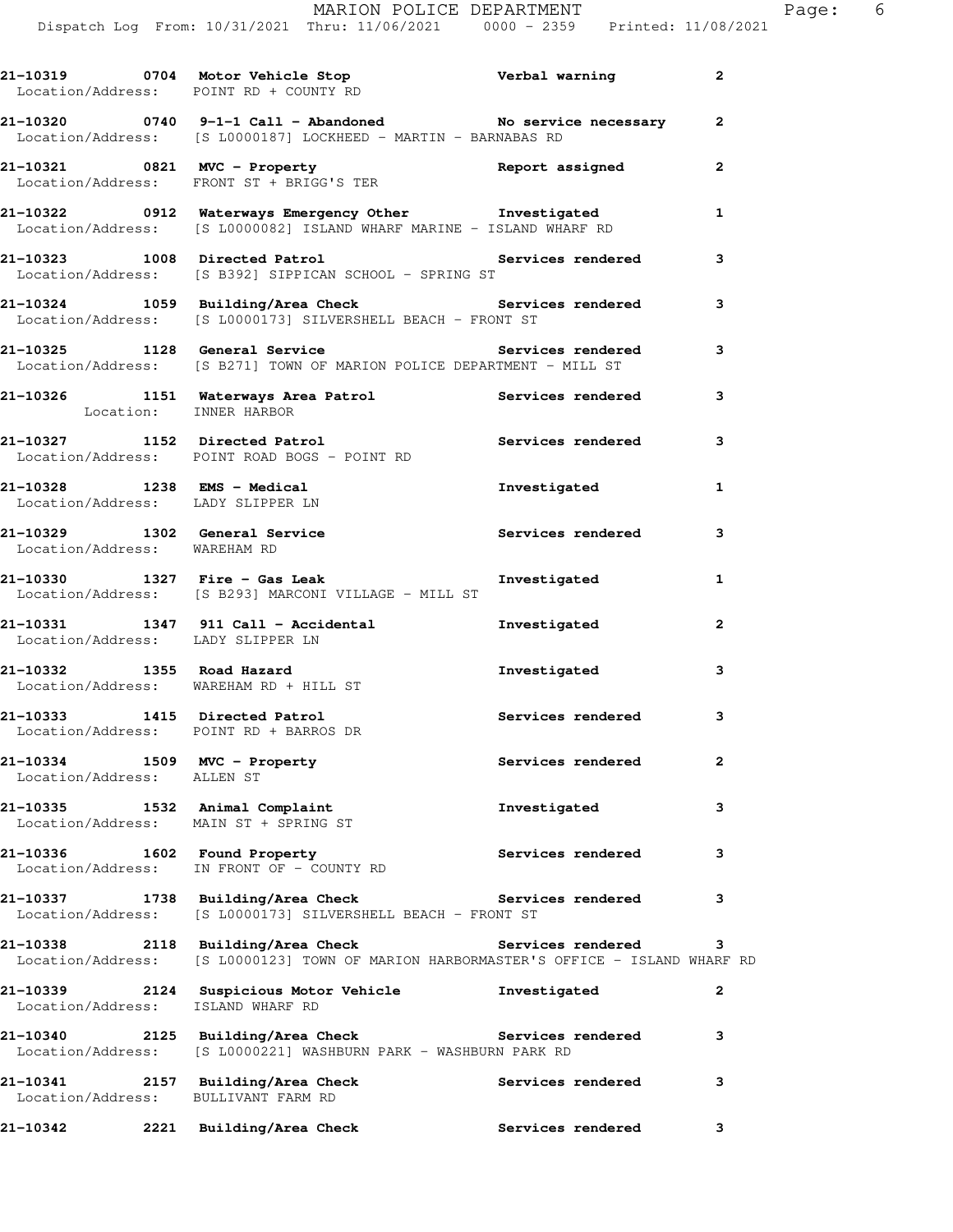|                                                            | 21-10319 0704 Motor Vehicle Stop Verbal warning<br>Location/Address: POINT RD + COUNTY RD                                    |                          | 2            |
|------------------------------------------------------------|------------------------------------------------------------------------------------------------------------------------------|--------------------------|--------------|
|                                                            | 21-10320 0740 9-1-1 Call - Abandoned No service necessary<br>Location/Address: [S L0000187] LOCKHEED - MARTIN - BARNABAS RD  |                          | 2            |
|                                                            | 21-10321 0821 MVC - Property<br>Location/Address: FRONT ST + BRIGG'S TER<br>Location/Address: FRONT ST + BRIGG'S TER         |                          | 2            |
|                                                            | 21-10322 0912 Waterways Emergency Other Threstigated<br>Location/Address: [S L0000082] ISLAND WHARF MARINE - ISLAND WHARF RD |                          | 1            |
|                                                            | Location/Address: [S B392] SIPPICAN SCHOOL - SPRING ST                                                                       |                          | 3            |
|                                                            | 21-10324 1059 Building/Area Check 1997 Services rendered<br>Location/Address: [S L0000173] SILVERSHELL BEACH - FRONT ST      |                          | 3            |
|                                                            | 21-10325 1128 General Service the Services rendered<br>Location/Address: [S B271] TOWN OF MARION POLICE DEPARTMENT - MILL ST |                          | 3            |
|                                                            | 21-10326 1151 Waterways Area Patrol Services rendered<br>Location: INNER HARBOR                                              |                          | 3            |
|                                                            | 21-10327 1152 Directed Patrol 21 Services rendered<br>Location/Address: POINT ROAD BOGS - POINT RD                           |                          | 3            |
|                                                            | 21-10328 1238 EMS - Medical<br>Location/Address: LADY SLIPPER LN                                                             | Investigated             | 1            |
| Location/Address: WAREHAM RD                               | 21-10329 1302 General Service                                                                                                | Services rendered        | 3            |
|                                                            | $21-10330$ 1327 Fire - Gas Leak<br>Location/Address: [S B293] MARCONI VILLAGE - MILL ST                                      | Investigated             | 1            |
| Location/Address: LADY SLIPPER LN                          | 21-10331 1347 911 Call - Accidental                                                                                          | Investigated             | $\mathbf{2}$ |
|                                                            | 21-10332 1355 Road Hazard<br>Location/Address: WAREHAM RD + HILL ST                                                          | Investigated             | 3            |
|                                                            | 21-10333 1415 Directed Patrol<br>Location/Address: POINT RD + BARROS DR                                                      | Services rendered        | 3            |
| 21-10334 1509 MVC - Property<br>Location/Address: ALLEN ST |                                                                                                                              | Services rendered        | 2            |
|                                                            | 21-10335 1532 Animal Complaint<br>Location/Address: MAIN ST + SPRING ST                                                      | Investigated             | 3            |
| 21-10336 1602 Found Property                               | Location/Address: IN FRONT OF - COUNTY RD                                                                                    | Services rendered        | 3            |
|                                                            | 21-10337 1738 Building/Area Check<br>Location/Address: [S L0000173] SILVERSHELL BEACH - FRONT ST                             | Services rendered        | 3            |
|                                                            | 21-10338 2118 Building/Area Check<br>Location/Address: [S L0000123] TOWN OF MARION HARBORMASTER'S OFFICE - ISLAND WHARF RD   | Services rendered        | 3            |
|                                                            | 21-10339 2124 Suspicious Motor Vehicle<br>Location/Address: ISLAND WHARF RD                                                  | Investigated             | 2            |
| Location/Address:                                          | 21-10340 2125 Building/Area Check Services rendered<br>[S L0000221] WASHBURN PARK - WASHBURN PARK RD                         |                          | 3            |
|                                                            | 21-10341 2157 Building/Area Check<br>Location/Address: BULLIVANT FARM RD                                                     | Services rendered        | 3            |
| 21-10342                                                   | 2221 Building/Area Check                                                                                                     | <b>Services rendered</b> | 3            |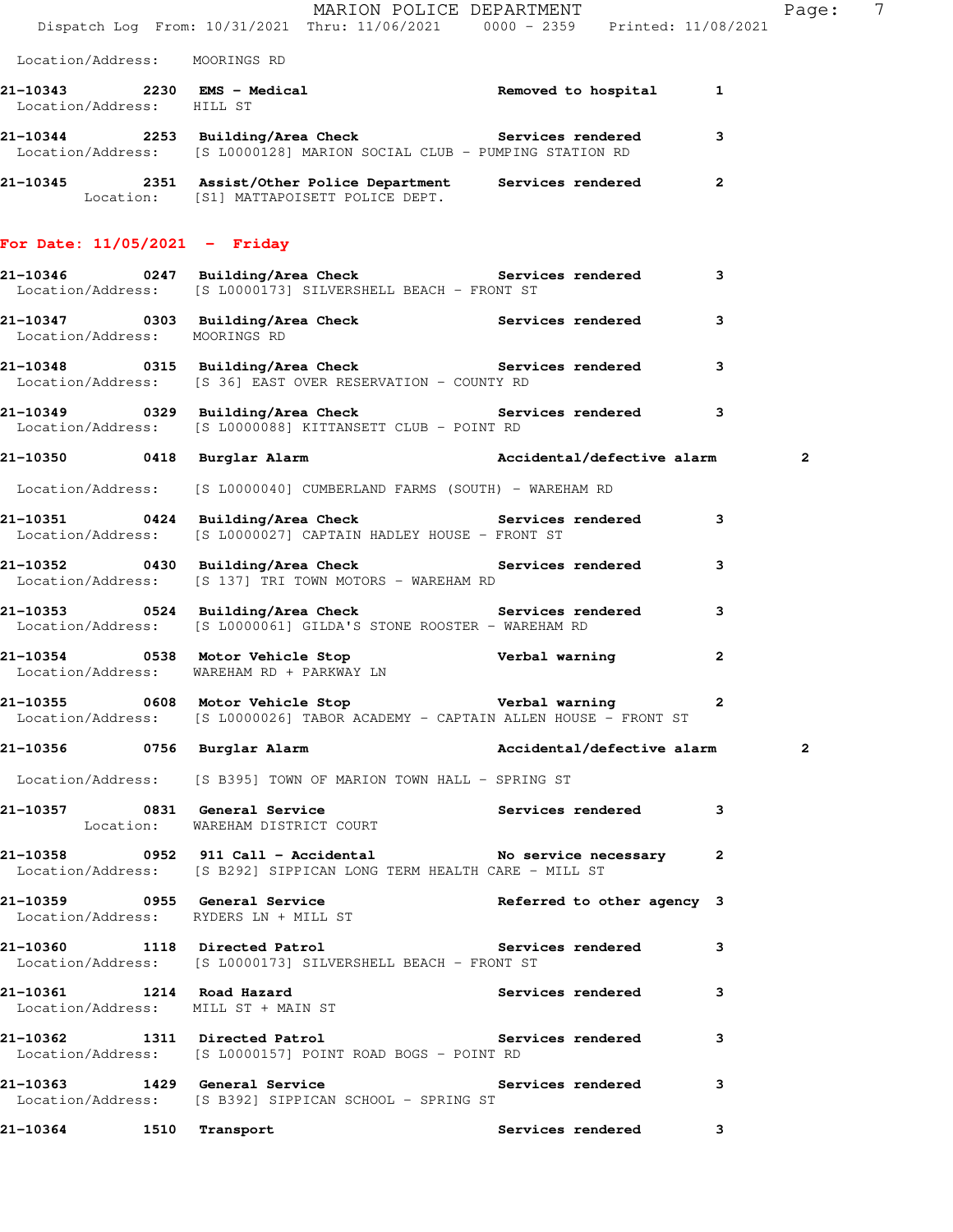|                                                                  | Dispatch Log From: 10/31/2021 Thru: 11/06/2021 0000 - 2359 Printed: 11/08/2021                                                    | MARION POLICE DEPARTMENT   | Page: 7        |  |
|------------------------------------------------------------------|-----------------------------------------------------------------------------------------------------------------------------------|----------------------------|----------------|--|
| Location/Address: MOORINGS RD                                    |                                                                                                                                   |                            |                |  |
| Location/Address: HILL ST                                        | 21-10343 2230 EMS - Medical                                                                                                       | Removed to hospital 1      |                |  |
|                                                                  | 21-10344 2253 Building/Area Check Services rendered<br>Location/Address: [S L0000128] MARION SOCIAL CLUB - PUMPING STATION RD     |                            | 3              |  |
|                                                                  | 21-10345 2351 Assist/Other Police Department Services rendered<br>Location: [S1] MATTAPOISETT POLICE DEPT.                        |                            | $\mathbf{2}$   |  |
| For Date: $11/05/2021$ - Friday                                  |                                                                                                                                   |                            |                |  |
|                                                                  | 21-10346 0247 Building/Area Check Services rendered<br>Location/Address: [S L0000173] SILVERSHELL BEACH - FRONT ST                |                            | 3              |  |
| Location/Address: MOORINGS RD                                    | 21-10347      0303  Building/Area Check          Services rendered                                                                |                            | 3              |  |
|                                                                  | 21-10348 0315 Building/Area Check <b>Services</b> rendered<br>Location/Address: [S 36] EAST OVER RESERVATION - COUNTY RD          |                            | 3              |  |
|                                                                  | 21-10349 		 0329 Building/Area Check 		 Services rendered 3<br>Location/Address: [S L0000088] KITTANSETT CLUB - POINT RD          |                            |                |  |
|                                                                  | 21-10350 0418 Burglar Alarm <b>Accidental/defective alarm</b>                                                                     |                            | $\overline{2}$ |  |
|                                                                  | Location/Address: [S L0000040] CUMBERLAND FARMS (SOUTH) - WAREHAM RD                                                              |                            |                |  |
|                                                                  | 21-10351 0424 Building/Area Check Services rendered<br>Location/Address: [S L0000027] CAPTAIN HADLEY HOUSE - FRONT ST             |                            | 3              |  |
|                                                                  | 21-10352 		 0430 Building/Area Check 		 Services rendered<br>Location/Address: [S 137] TRI TOWN MOTORS - WAREHAM RD               |                            | 3              |  |
|                                                                  | 21-10353 0524 Building/Area Check Services rendered<br>Location/Address: [S L0000061] GILDA'S STONE ROOSTER - WAREHAM RD          |                            | 3              |  |
|                                                                  | 21-10354      0538   Motor Vehicle Stop            Verbal warning<br>Location/Address: WAREHAM RD + PARKWAY LN                    |                            | 2              |  |
|                                                                  | 21-10355 0608 Motor Vehicle Stop Nerbal warning<br>Location/Address: [S L0000026] TABOR ACADEMY - CAPTAIN ALLEN HOUSE - FRONT ST  |                            |                |  |
| 21-10356 0756 Burglar Alarm                                      |                                                                                                                                   | Accidental/defective alarm | $\mathbf{2}$   |  |
|                                                                  | Location/Address: [S B395] TOWN OF MARION TOWN HALL - SPRING ST                                                                   |                            |                |  |
|                                                                  | 21-10357 0831 General Service<br>Location: WAREHAM DISTRICT COURT                                                                 | Services rendered 3        |                |  |
|                                                                  | 21-10358 0952 911 Call - Accidental No service necessary 2<br>Location/Address: [S B292] SIPPICAN LONG TERM HEALTH CARE - MILL ST |                            |                |  |
|                                                                  | 21-10359 0955 General Service<br>Location/Address: RYDERS LN + MILL ST                                                            | Referred to other agency 3 |                |  |
|                                                                  | 21-10360 1118 Directed Patrol 21-10360 13<br>Location/Address: [S L0000173] SILVERSHELL BEACH - FRONT ST                          |                            |                |  |
| 21-10361 1214 Road Hazard<br>Location/Address: MILL ST + MAIN ST |                                                                                                                                   | Services rendered 3        |                |  |
|                                                                  | 21-10362 1311 Directed Patrol 1 1 21-10362 5 Services rendered 3<br>Location/Address: [S L0000157] POINT ROAD BOGS - POINT RD     |                            |                |  |
| 21-10363 1429 General Service                                    | Location/Address: [S B392] SIPPICAN SCHOOL - SPRING ST                                                                            | Services rendered          | 3              |  |
| 21-10364 1510 Transport                                          |                                                                                                                                   | <b>Services rendered</b>   | $\mathbf{3}$   |  |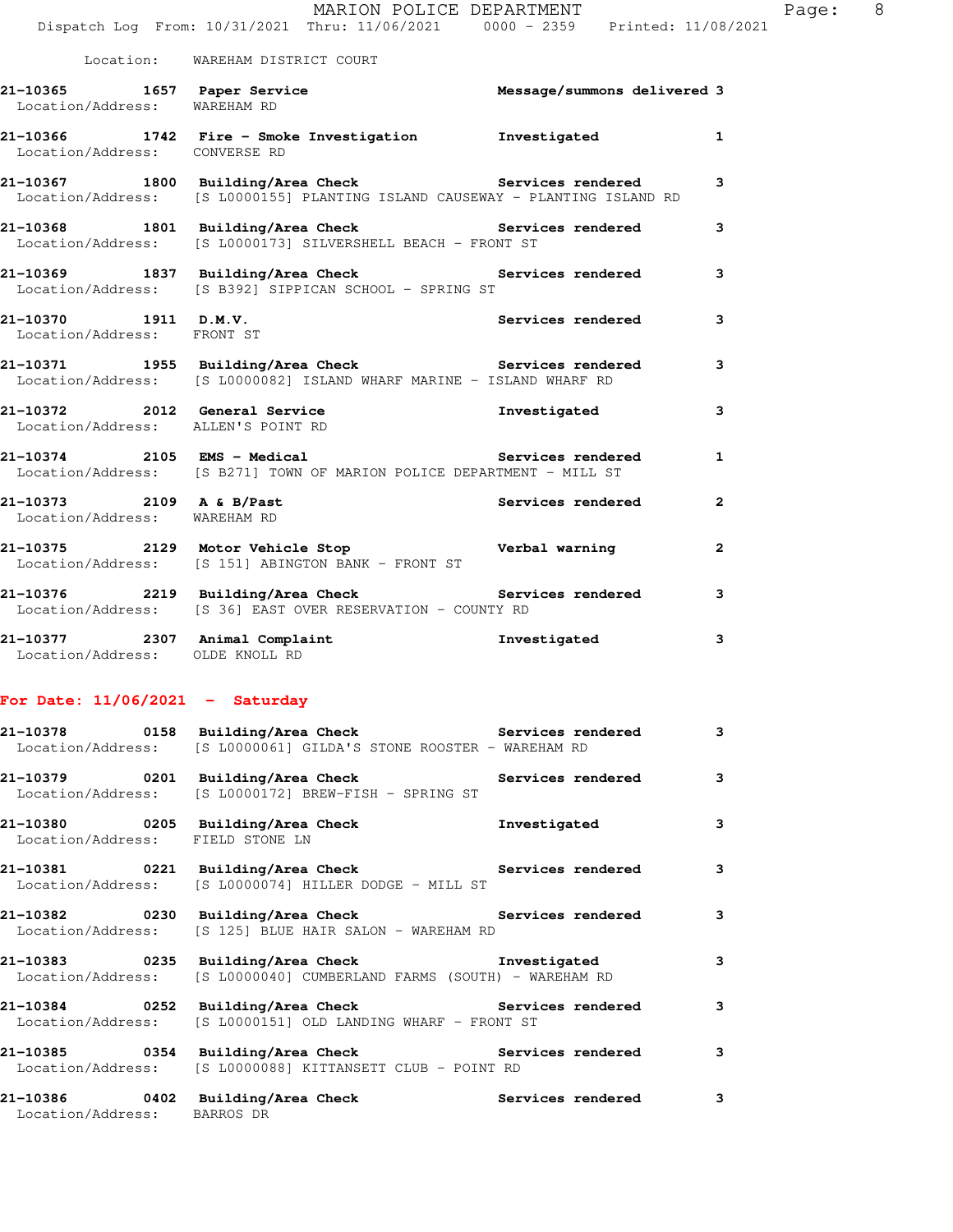|                                                             | Location: WAREHAM DISTRICT COURT                                                                                                    |                             |                |
|-------------------------------------------------------------|-------------------------------------------------------------------------------------------------------------------------------------|-----------------------------|----------------|
| 21-10365 1657 Paper Service<br>Location/Address: WAREHAM RD |                                                                                                                                     | Message/summons delivered 3 |                |
| Location/Address: CONVERSE RD                               | 21-10366 1742 Fire - Smoke Investigation 1nvestigated                                                                               |                             | $\mathbf{1}$   |
|                                                             | 21-10367 1800 Building/Area Check Services rendered<br>Location/Address: [S L0000155] PLANTING ISLAND CAUSEWAY - PLANTING ISLAND RD |                             | 3              |
|                                                             | 21-10368 1801 Building/Area Check Services rendered<br>Location/Address: [S L0000173] SILVERSHELL BEACH - FRONT ST                  |                             | 3              |
|                                                             | 21-10369 1837 Building/Area Check Services rendered<br>Location/Address: [S B392] SIPPICAN SCHOOL - SPRING ST                       |                             | 3              |
| 21-10370 1911 D.M.V.<br>Location/Address: FRONT ST          |                                                                                                                                     | Services rendered           | 3              |
|                                                             | 21-10371 1955 Building/Area Check Services rendered<br>Location/Address: [S L0000082] ISLAND WHARF MARINE - ISLAND WHARF RD         |                             | 3              |
|                                                             | 21-10372 2012 General Service 2012 Threstigated<br>Location/Address: ALLEN'S POINT RD                                               |                             | 3              |
|                                                             | Location/Address: [S B271] TOWN OF MARION POLICE DEPARTMENT - MILL ST                                                               |                             | $\mathbf{1}$   |
| Location/Address: WAREHAM RD                                | 21-10373 2109 A & B/Past 2008 Services rendered                                                                                     |                             | $\overline{a}$ |
|                                                             | 21-10375 2129 Motor Vehicle Stop Controller verbal warning<br>Location/Address: [S 151] ABINGTON BANK - FRONT ST                    |                             | $\mathbf{2}$   |
|                                                             | 21-10376 2219 Building/Area Check Services rendered<br>Location/Address: [S 36] EAST OVER RESERVATION - COUNTY RD                   |                             | 3              |
| Location/Address: OLDE KNOLL RD                             | 21-10377 2307 Animal Complaint                                                                                                      | Investigated                | 3              |

## **For Date: 11/06/2021 - Saturday**

|                                  | 21-10378 		 0158 Building/Area Check 		 Services rendered<br>Location/Address: [S L0000061] GILDA'S STONE ROOSTER - WAREHAM RD   | $\mathbf{3}$ |
|----------------------------------|----------------------------------------------------------------------------------------------------------------------------------|--------------|
|                                  | Location/Address: [S L0000172] BREW-FISH - SPRING ST                                                                             | $\mathbf{3}$ |
| Location/Address: FIELD STONE LN | 21-10380 0205 Building/Area Check 51 Investigated                                                                                | $\mathbf{3}$ |
|                                  | 21-10381 		 0221 Building/Area Check 		 Services rendered<br>Location/Address: [S L0000074] HILLER DODGE - MILL ST               | 3            |
|                                  | 21-10382      0230  Building/Area Check          Services rendered<br>Location/Address: [S 125] BLUE HAIR SALON - WAREHAM RD     | $\mathbf{3}$ |
|                                  | 21-10383 0235 Building/Area Check 51 Investigated<br>Location/Address: [S L0000040] CUMBERLAND FARMS (SOUTH) - WAREHAM RD        | $\mathbf{3}$ |
|                                  | 21-10384      0252  Building/Area Check         Services rendered<br>Location/Address: [S L0000151] OLD LANDING WHARF - FRONT ST | $\mathbf{3}$ |
|                                  | 21-10385      0354  Building/Area Check          Services rendered<br>Location/Address: [S L0000088] KITTANSETT CLUB - POINT RD  | $\mathbf{3}$ |
| Location/Address: BARROS DR      | 21-10386 		 0402 Building/Area Check 		 Services rendered                                                                        | $\mathbf{3}$ |